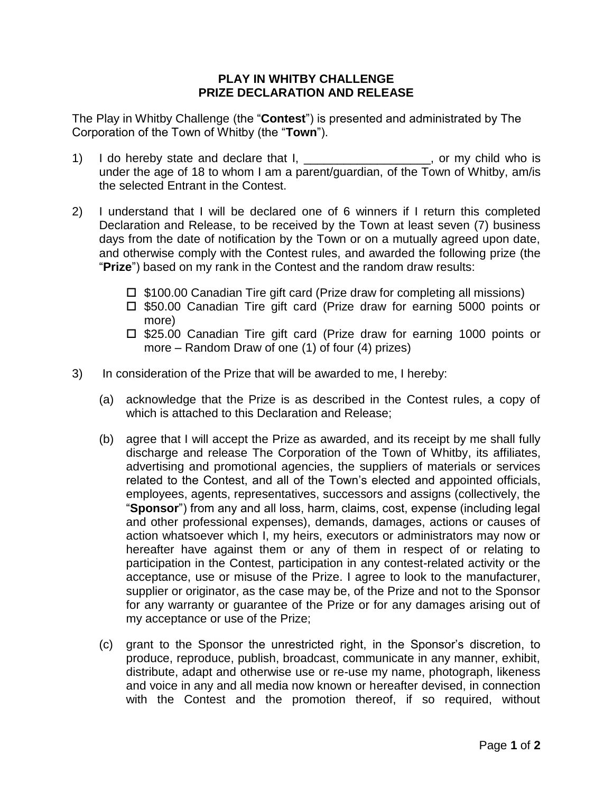## **PLAY IN WHITBY CHALLENGE PRIZE DECLARATION AND RELEASE**

The Play in Whitby Challenge (the "**Contest**") is presented and administrated by The Corporation of the Town of Whitby (the "**Town**").

- 1) I do hereby state and declare that I, \_\_\_\_\_\_\_\_\_\_\_\_\_\_\_\_\_\_\_, or my child who is under the age of 18 to whom I am a parent/guardian, of the Town of Whitby, am/is the selected Entrant in the Contest.
- 2) I understand that I will be declared one of 6 winners if I return this completed Declaration and Release, to be received by the Town at least seven (7) business days from the date of notification by the Town or on a mutually agreed upon date, and otherwise comply with the Contest rules, and awarded the following prize (the "**Prize**") based on my rank in the Contest and the random draw results:
	- $\Box$  \$100.00 Canadian Tire gift card (Prize draw for completing all missions)
	- □ \$50.00 Canadian Tire gift card (Prize draw for earning 5000 points or more)
	- $\Box$  \$25.00 Canadian Tire gift card (Prize draw for earning 1000 points or more – Random Draw of one (1) of four (4) prizes)
- 3) In consideration of the Prize that will be awarded to me, I hereby:
	- (a) acknowledge that the Prize is as described in the Contest rules, a copy of which is attached to this Declaration and Release;
	- (b) agree that I will accept the Prize as awarded, and its receipt by me shall fully discharge and release The Corporation of the Town of Whitby, its affiliates, advertising and promotional agencies, the suppliers of materials or services related to the Contest, and all of the Town's elected and appointed officials, employees, agents, representatives, successors and assigns (collectively, the "**Sponsor**") from any and all loss, harm, claims, cost, expense (including legal and other professional expenses), demands, damages, actions or causes of action whatsoever which I, my heirs, executors or administrators may now or hereafter have against them or any of them in respect of or relating to participation in the Contest, participation in any contest-related activity or the acceptance, use or misuse of the Prize. I agree to look to the manufacturer, supplier or originator, as the case may be, of the Prize and not to the Sponsor for any warranty or guarantee of the Prize or for any damages arising out of my acceptance or use of the Prize;
	- (c) grant to the Sponsor the unrestricted right, in the Sponsor's discretion, to produce, reproduce, publish, broadcast, communicate in any manner, exhibit, distribute, adapt and otherwise use or re-use my name, photograph, likeness and voice in any and all media now known or hereafter devised, in connection with the Contest and the promotion thereof, if so required, without